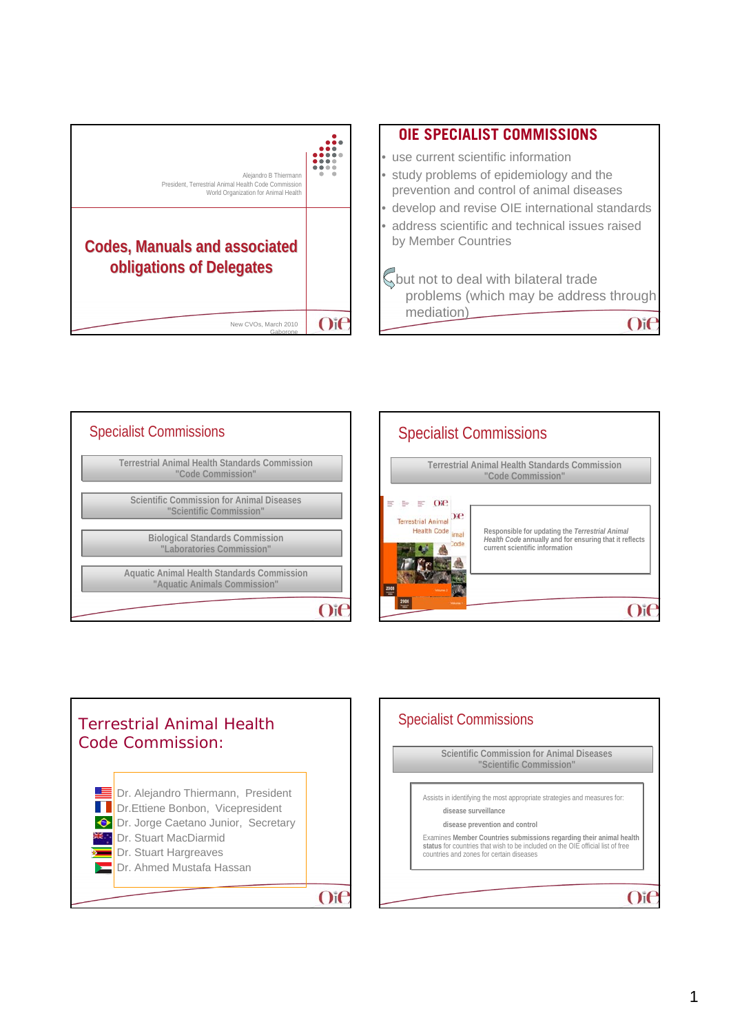







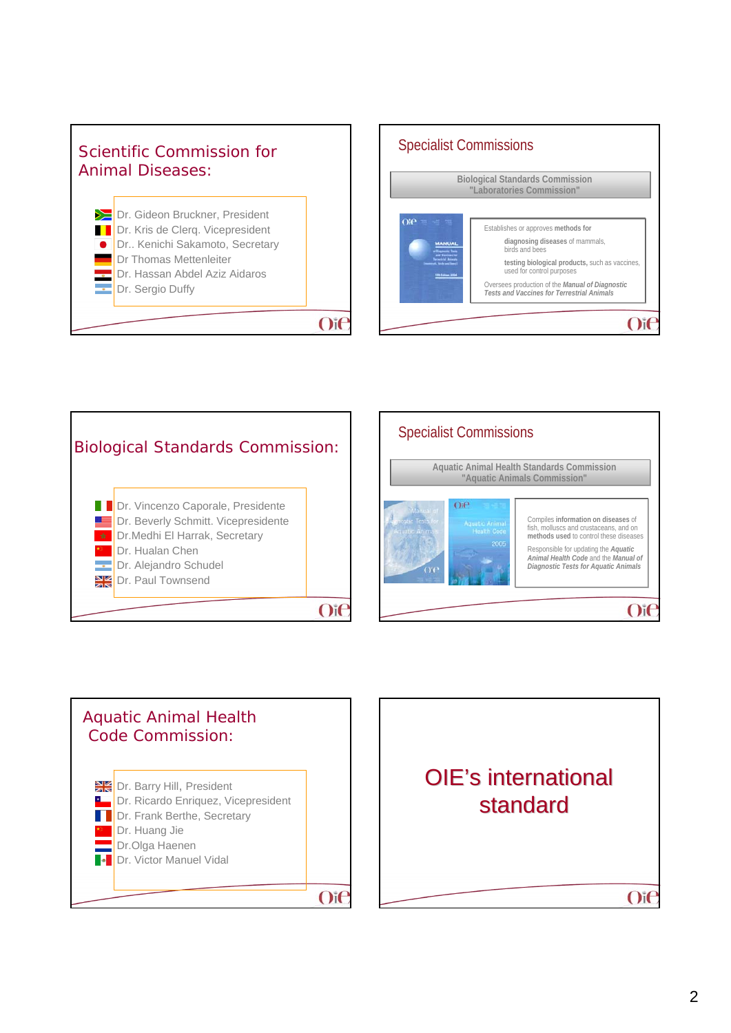









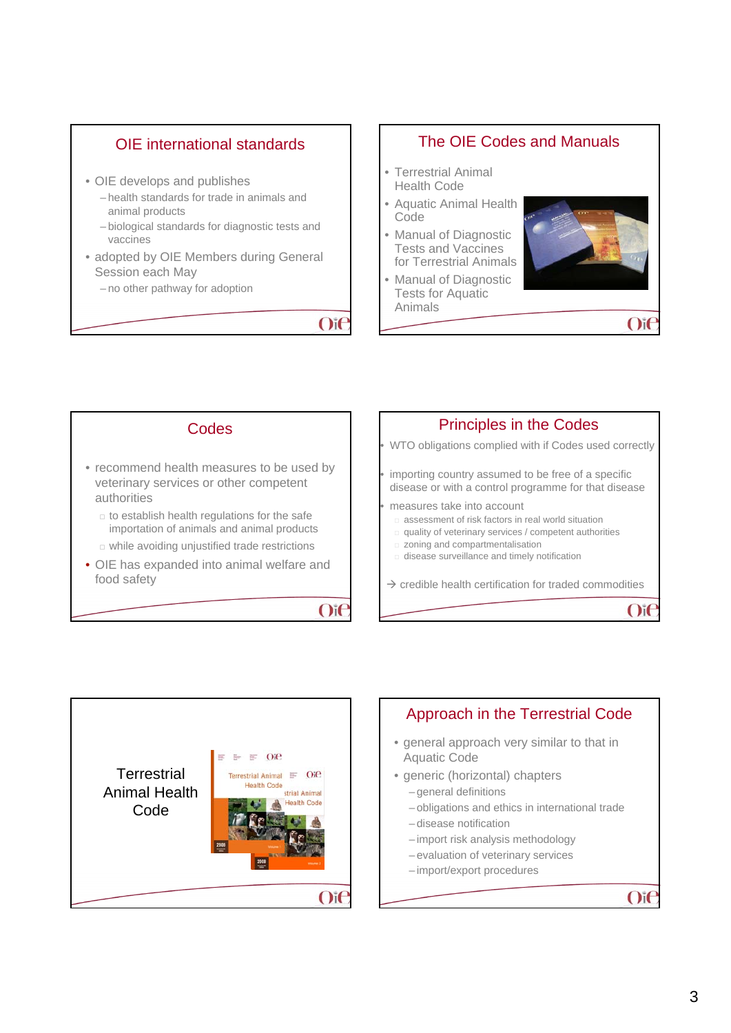

### The OIE Codes and Manuals

- Terrestrial Animal Health Code
- Aquatic Animal Health Code
- Manual of Diagnostic Tests and Vaccines for Terrestrial Animals
- Manual of Diagnostic Tests for Aquatic Animals







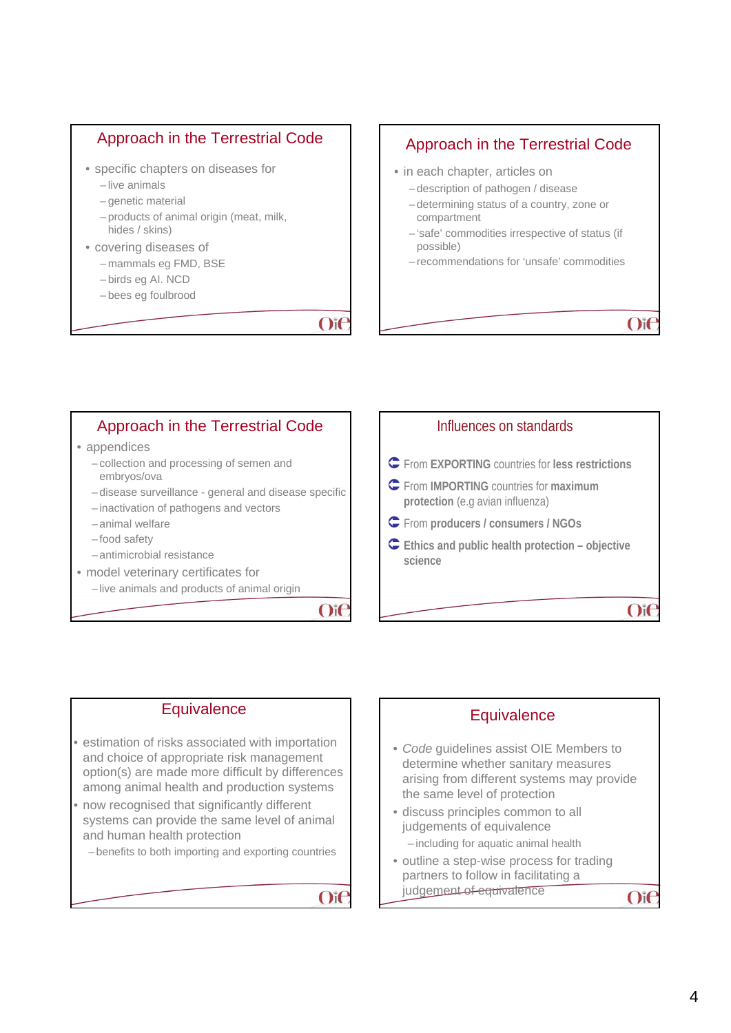### Approach in the Terrestrial Code

- specific chapters on diseases for
	- live animals
	- genetic material
	- products of animal origin (meat, milk, hides / skins)
- covering diseases of
	- mammals eg FMD, BSE
	- birds eg AI. NCD
	- bees eg foulbrood

### $O$ i $\epsilon$

### Approach in the Terrestrial Code

- in each chapter, articles on
	- description of pathogen / disease
	- determining status of a country, zone or compartment
	- 'safe' commodities irrespective of status (if possible)
	- recommendations for 'unsafe' commodities

 $O$ if

## Approach in the Terrestrial Code

#### • appendices

- collection and processing of semen and embryos/ova
- disease surveillance general and disease specific
- inactivation of pathogens and vectors
- animal welfare
- food safety
- antimicrobial resistance
- model veterinary certificates for
	- live animals and products of animal origin

 $Oif$ 



### **Equivalence**

- estimation of risks associated with importation and choice of appropriate risk management option(s) are made more difficult by differences among animal health and production systems
- now recognised that significantly different systems can provide the same level of animal and human health protection

– benefits to both importing and exporting countries

 $O<sub>i</sub>$ 

# **Equivalence** • *Code* guidelines assist OIE Members to

- determine whether sanitary measures arising from different systems may provide the same level of protection
- discuss principles common to all judgements of equivalence – including for aquatic animal health
- outline a step-wise process for trading partners to follow in facilitating a judgement of equivalence

 $O<sub>i</sub>$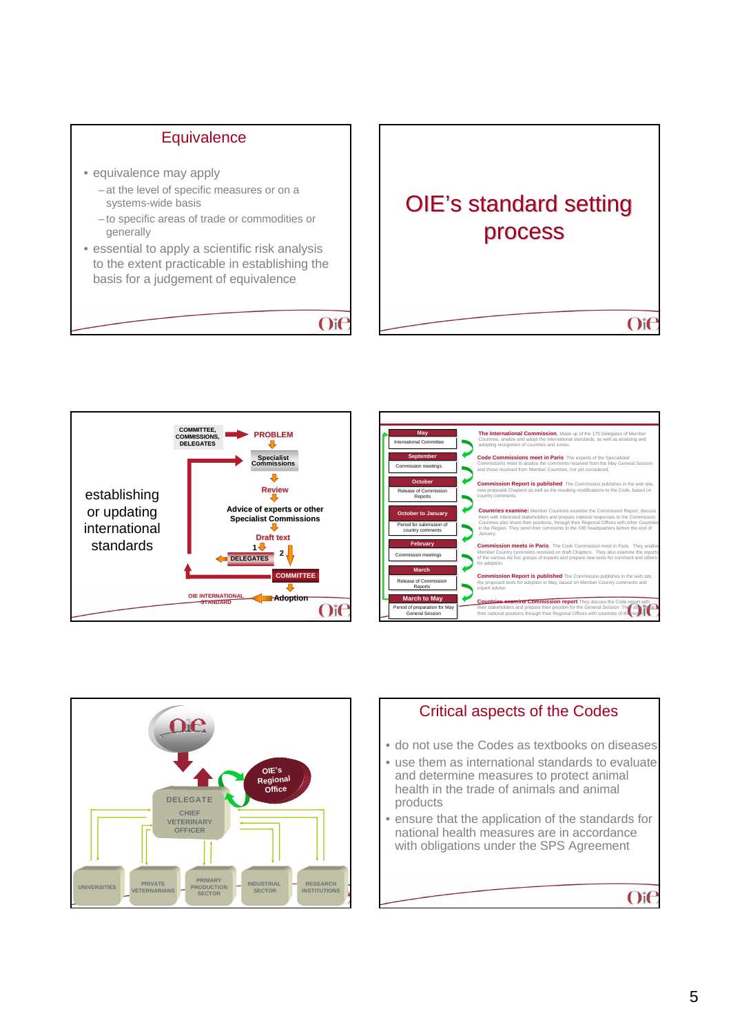### **Equivalence**

- equivalence may apply
	- at the level of specific measures or on a systems-wide basis
	- to specific areas of trade or commodities or generally
- essential to apply a scientific risk analysis to the extent practicable in establishing the basis for a judgement of equivalence

### $O$ i $C$